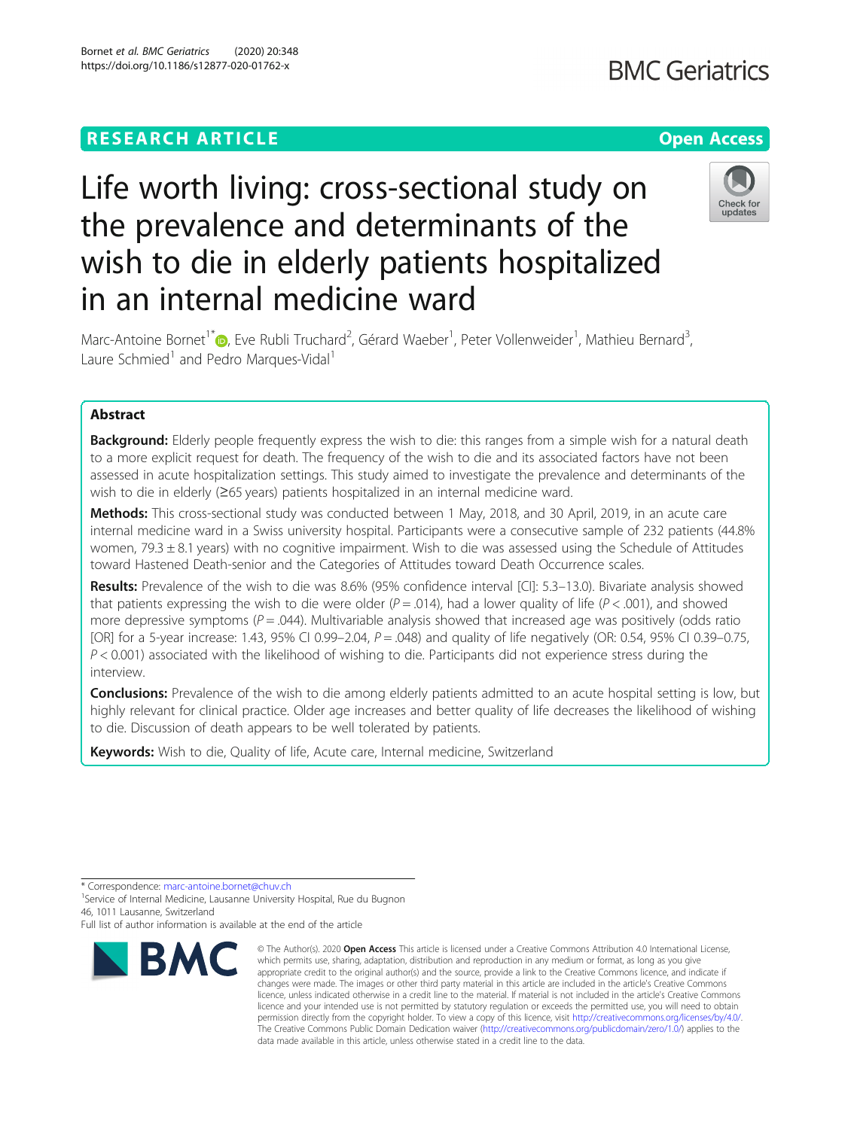# **RESEARCH ARTICLE Example 2014 12:30 The Contract of Contract ACCESS**

# Life worth living: cross-sectional study on the prevalence and determinants of the wish to die in elderly patients hospitalized in an internal medicine ward



Marc-Antoine Bornet<sup>1\*</sup> D, Eve Rubli Truchard<sup>2</sup>, Gérard Waeber<sup>1</sup>, Peter Vollenweider<sup>1</sup>, Mathieu Bernard<sup>3</sup> , Laure Schmied<sup>1</sup> and Pedro Marques-Vidal<sup>1</sup>

# Abstract

**Background:** Elderly people frequently express the wish to die: this ranges from a simple wish for a natural death to a more explicit request for death. The frequency of the wish to die and its associated factors have not been assessed in acute hospitalization settings. This study aimed to investigate the prevalence and determinants of the wish to die in elderly (≥65 years) patients hospitalized in an internal medicine ward.

Methods: This cross-sectional study was conducted between 1 May, 2018, and 30 April, 2019, in an acute care internal medicine ward in a Swiss university hospital. Participants were a consecutive sample of 232 patients (44.8% women, 79.3  $\pm$  8.1 years) with no cognitive impairment. Wish to die was assessed using the Schedule of Attitudes toward Hastened Death-senior and the Categories of Attitudes toward Death Occurrence scales.

Results: Prevalence of the wish to die was 8.6% (95% confidence interval [CI]: 5.3–13.0). Bivariate analysis showed that patients expressing the wish to die were older ( $P = .014$ ), had a lower quality of life ( $P < .001$ ), and showed more depressive symptoms ( $P = .044$ ). Multivariable analysis showed that increased age was positively (odds ratio [OR] for a 5-year increase: 1.43, 95% CI 0.99–2.04,  $P = .048$ ) and quality of life negatively (OR: 0.54, 95% CI 0.39–0.75,  $P < 0.001$ ) associated with the likelihood of wishing to die. Participants did not experience stress during the interview.

Conclusions: Prevalence of the wish to die among elderly patients admitted to an acute hospital setting is low, but highly relevant for clinical practice. Older age increases and better quality of life decreases the likelihood of wishing to die. Discussion of death appears to be well tolerated by patients.

Keywords: Wish to die, Quality of life, Acute care, Internal medicine, Switzerland

<sup>1</sup> Service of Internal Medicine, Lausanne University Hospital, Rue du Bugnon 46, 1011 Lausanne, Switzerland

Full list of author information is available at the end of the article



<sup>©</sup> The Author(s), 2020 **Open Access** This article is licensed under a Creative Commons Attribution 4.0 International License, which permits use, sharing, adaptation, distribution and reproduction in any medium or format, as long as you give appropriate credit to the original author(s) and the source, provide a link to the Creative Commons licence, and indicate if changes were made. The images or other third party material in this article are included in the article's Creative Commons licence, unless indicated otherwise in a credit line to the material. If material is not included in the article's Creative Commons licence and your intended use is not permitted by statutory regulation or exceeds the permitted use, you will need to obtain permission directly from the copyright holder. To view a copy of this licence, visit [http://creativecommons.org/licenses/by/4.0/.](http://creativecommons.org/licenses/by/4.0/) The Creative Commons Public Domain Dedication waiver [\(http://creativecommons.org/publicdomain/zero/1.0/](http://creativecommons.org/publicdomain/zero/1.0/)) applies to the data made available in this article, unless otherwise stated in a credit line to the data.

<sup>\*</sup> Correspondence: [marc-antoine.bornet@chuv.ch](mailto:marc-antoine.bornet@chuv.ch) <sup>1</sup>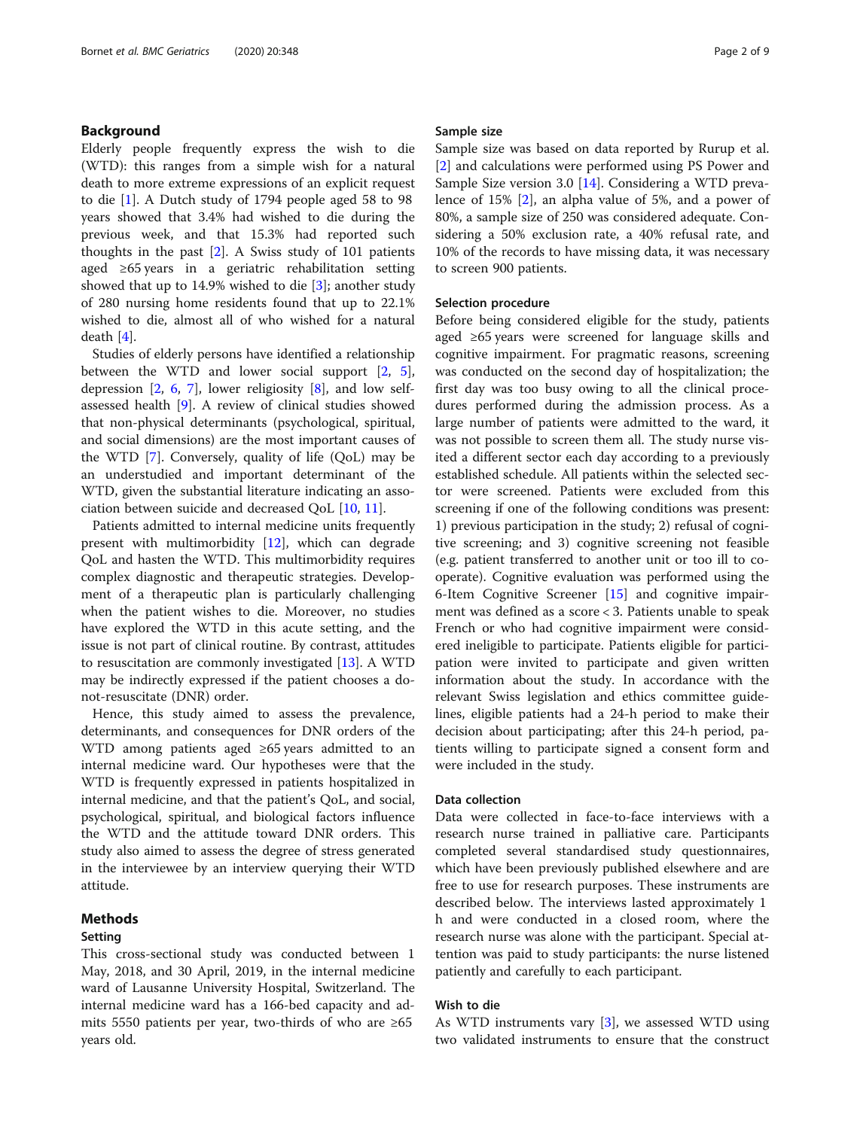# Background

Elderly people frequently express the wish to die (WTD): this ranges from a simple wish for a natural death to more extreme expressions of an explicit request to die [\[1](#page-7-0)]. A Dutch study of 1794 people aged 58 to 98 years showed that 3.4% had wished to die during the previous week, and that 15.3% had reported such thoughts in the past  $[2]$  $[2]$ . A Swiss study of 101 patients aged ≥65 years in a geriatric rehabilitation setting showed that up to 14.9% wished to die [\[3](#page-7-0)]; another study of 280 nursing home residents found that up to 22.1% wished to die, almost all of who wished for a natural death [\[4](#page-7-0)].

Studies of elderly persons have identified a relationship between the WTD and lower social support [[2,](#page-7-0) [5](#page-7-0)], depression [[2,](#page-7-0) [6](#page-7-0), [7\]](#page-7-0), lower religiosity [\[8\]](#page-7-0), and low selfassessed health [[9\]](#page-7-0). A review of clinical studies showed that non-physical determinants (psychological, spiritual, and social dimensions) are the most important causes of the WTD [[7\]](#page-7-0). Conversely, quality of life (QoL) may be an understudied and important determinant of the WTD, given the substantial literature indicating an association between suicide and decreased QoL [\[10](#page-7-0), [11](#page-7-0)].

Patients admitted to internal medicine units frequently present with multimorbidity [\[12](#page-7-0)], which can degrade QoL and hasten the WTD. This multimorbidity requires complex diagnostic and therapeutic strategies. Development of a therapeutic plan is particularly challenging when the patient wishes to die. Moreover, no studies have explored the WTD in this acute setting, and the issue is not part of clinical routine. By contrast, attitudes to resuscitation are commonly investigated [[13\]](#page-7-0). A WTD may be indirectly expressed if the patient chooses a donot-resuscitate (DNR) order.

Hence, this study aimed to assess the prevalence, determinants, and consequences for DNR orders of the WTD among patients aged ≥65 years admitted to an internal medicine ward. Our hypotheses were that the WTD is frequently expressed in patients hospitalized in internal medicine, and that the patient's QoL, and social, psychological, spiritual, and biological factors influence the WTD and the attitude toward DNR orders. This study also aimed to assess the degree of stress generated in the interviewee by an interview querying their WTD attitude.

# Methods

### Setting

This cross-sectional study was conducted between 1 May, 2018, and 30 April, 2019, in the internal medicine ward of Lausanne University Hospital, Switzerland. The internal medicine ward has a 166-bed capacity and admits 5550 patients per year, two-thirds of who are ≥65 years old.

#### Sample size

Sample size was based on data reported by Rurup et al. [[2\]](#page-7-0) and calculations were performed using PS Power and Sample Size version 3.0 [[14\]](#page-7-0). Considering a WTD prevalence of 15% [\[2](#page-7-0)], an alpha value of 5%, and a power of 80%, a sample size of 250 was considered adequate. Considering a 50% exclusion rate, a 40% refusal rate, and 10% of the records to have missing data, it was necessary to screen 900 patients.

#### Selection procedure

Before being considered eligible for the study, patients aged ≥65 years were screened for language skills and cognitive impairment. For pragmatic reasons, screening was conducted on the second day of hospitalization; the first day was too busy owing to all the clinical procedures performed during the admission process. As a large number of patients were admitted to the ward, it was not possible to screen them all. The study nurse visited a different sector each day according to a previously established schedule. All patients within the selected sector were screened. Patients were excluded from this screening if one of the following conditions was present: 1) previous participation in the study; 2) refusal of cognitive screening; and 3) cognitive screening not feasible (e.g. patient transferred to another unit or too ill to cooperate). Cognitive evaluation was performed using the 6-Item Cognitive Screener [[15\]](#page-7-0) and cognitive impairment was defined as a score < 3. Patients unable to speak French or who had cognitive impairment were considered ineligible to participate. Patients eligible for participation were invited to participate and given written information about the study. In accordance with the relevant Swiss legislation and ethics committee guidelines, eligible patients had a 24-h period to make their decision about participating; after this 24-h period, patients willing to participate signed a consent form and were included in the study.

#### Data collection

Data were collected in face-to-face interviews with a research nurse trained in palliative care. Participants completed several standardised study questionnaires, which have been previously published elsewhere and are free to use for research purposes. These instruments are described below. The interviews lasted approximately 1 h and were conducted in a closed room, where the research nurse was alone with the participant. Special attention was paid to study participants: the nurse listened patiently and carefully to each participant.

# Wish to die

As WTD instruments vary [\[3](#page-7-0)], we assessed WTD using two validated instruments to ensure that the construct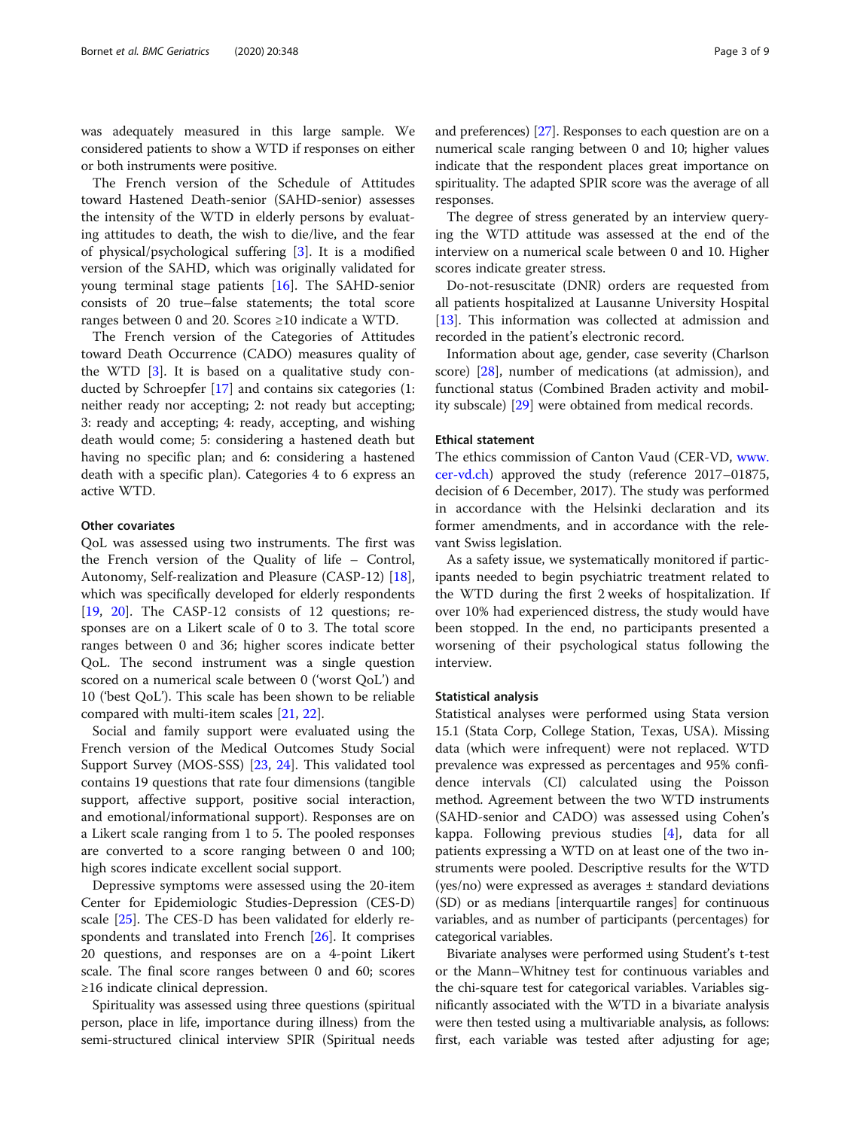was adequately measured in this large sample. We considered patients to show a WTD if responses on either or both instruments were positive.

The French version of the Schedule of Attitudes toward Hastened Death-senior (SAHD-senior) assesses the intensity of the WTD in elderly persons by evaluating attitudes to death, the wish to die/live, and the fear of physical/psychological suffering [\[3](#page-7-0)]. It is a modified version of the SAHD, which was originally validated for young terminal stage patients [\[16](#page-7-0)]. The SAHD-senior consists of 20 true–false statements; the total score ranges between 0 and 20. Scores ≥10 indicate a WTD.

The French version of the Categories of Attitudes toward Death Occurrence (CADO) measures quality of the WTD [[3](#page-7-0)]. It is based on a qualitative study conducted by Schroepfer [[17](#page-7-0)] and contains six categories (1: neither ready nor accepting; 2: not ready but accepting; 3: ready and accepting; 4: ready, accepting, and wishing death would come; 5: considering a hastened death but having no specific plan; and 6: considering a hastened death with a specific plan). Categories 4 to 6 express an active WTD.

#### Other covariates

QoL was assessed using two instruments. The first was the French version of the Quality of life – Control, Autonomy, Self-realization and Pleasure (CASP-12) [\[18](#page-7-0)], which was specifically developed for elderly respondents [[19,](#page-7-0) [20\]](#page-7-0). The CASP-12 consists of 12 questions; responses are on a Likert scale of 0 to 3. The total score ranges between 0 and 36; higher scores indicate better QoL. The second instrument was a single question scored on a numerical scale between 0 ('worst QoL') and 10 ('best QoL'). This scale has been shown to be reliable compared with multi-item scales [\[21,](#page-7-0) [22\]](#page-7-0).

Social and family support were evaluated using the French version of the Medical Outcomes Study Social Support Survey (MOS-SSS) [[23,](#page-7-0) [24](#page-7-0)]. This validated tool contains 19 questions that rate four dimensions (tangible support, affective support, positive social interaction, and emotional/informational support). Responses are on a Likert scale ranging from 1 to 5. The pooled responses are converted to a score ranging between 0 and 100; high scores indicate excellent social support.

Depressive symptoms were assessed using the 20-item Center for Epidemiologic Studies-Depression (CES-D) scale [[25\]](#page-7-0). The CES-D has been validated for elderly respondents and translated into French [\[26](#page-7-0)]. It comprises 20 questions, and responses are on a 4-point Likert scale. The final score ranges between 0 and 60; scores ≥16 indicate clinical depression.

Spirituality was assessed using three questions (spiritual person, place in life, importance during illness) from the semi-structured clinical interview SPIR (Spiritual needs and preferences) [[27](#page-7-0)]. Responses to each question are on a numerical scale ranging between 0 and 10; higher values indicate that the respondent places great importance on spirituality. The adapted SPIR score was the average of all responses.

The degree of stress generated by an interview querying the WTD attitude was assessed at the end of the interview on a numerical scale between 0 and 10. Higher scores indicate greater stress.

Do-not-resuscitate (DNR) orders are requested from all patients hospitalized at Lausanne University Hospital [[13\]](#page-7-0). This information was collected at admission and recorded in the patient's electronic record.

Information about age, gender, case severity (Charlson score) [[28\]](#page-7-0), number of medications (at admission), and functional status (Combined Braden activity and mobility subscale) [[29\]](#page-7-0) were obtained from medical records.

#### Ethical statement

The ethics commission of Canton Vaud (CER-VD, [www.](http://www.cer-vd.ch) [cer-vd.ch](http://www.cer-vd.ch)) approved the study (reference 2017–01875, decision of 6 December, 2017). The study was performed in accordance with the Helsinki declaration and its former amendments, and in accordance with the relevant Swiss legislation.

As a safety issue, we systematically monitored if participants needed to begin psychiatric treatment related to the WTD during the first 2 weeks of hospitalization. If over 10% had experienced distress, the study would have been stopped. In the end, no participants presented a worsening of their psychological status following the interview.

#### Statistical analysis

Statistical analyses were performed using Stata version 15.1 (Stata Corp, College Station, Texas, USA). Missing data (which were infrequent) were not replaced. WTD prevalence was expressed as percentages and 95% confidence intervals (CI) calculated using the Poisson method. Agreement between the two WTD instruments (SAHD-senior and CADO) was assessed using Cohen's kappa. Following previous studies [\[4](#page-7-0)], data for all patients expressing a WTD on at least one of the two instruments were pooled. Descriptive results for the WTD (yes/no) were expressed as averages  $\pm$  standard deviations (SD) or as medians [interquartile ranges] for continuous variables, and as number of participants (percentages) for categorical variables.

Bivariate analyses were performed using Student's t-test or the Mann–Whitney test for continuous variables and the chi-square test for categorical variables. Variables significantly associated with the WTD in a bivariate analysis were then tested using a multivariable analysis, as follows: first, each variable was tested after adjusting for age;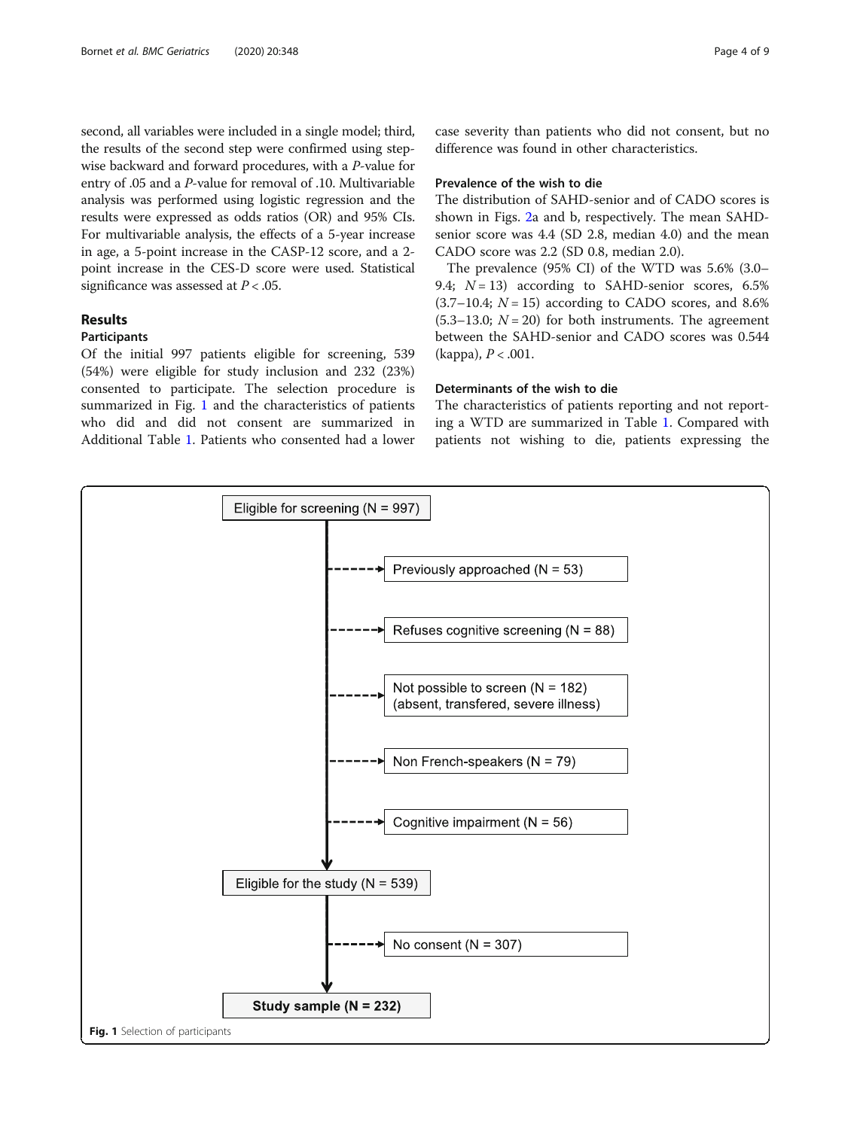second, all variables were included in a single model; third, the results of the second step were confirmed using stepwise backward and forward procedures, with a P-value for entry of .05 and a P-value for removal of .10. Multivariable analysis was performed using logistic regression and the results were expressed as odds ratios (OR) and 95% CIs. For multivariable analysis, the effects of a 5-year increase in age, a 5-point increase in the CASP-12 score, and a 2 point increase in the CES-D score were used. Statistical significance was assessed at  $P < .05$ .

# Results

#### Participants

Of the initial 997 patients eligible for screening, 539 (54%) were eligible for study inclusion and 232 (23%) consented to participate. The selection procedure is summarized in Fig. 1 and the characteristics of patients who did and did not consent are summarized in Additional Table [1.](#page-6-0) Patients who consented had a lower

### Prevalence of the wish to die

The distribution of SAHD-senior and of CADO scores is shown in Figs. [2a](#page-4-0) and b, respectively. The mean SAHDsenior score was 4.4 (SD 2.8, median 4.0) and the mean CADO score was 2.2 (SD 0.8, median 2.0).

The prevalence (95% CI) of the WTD was 5.6% (3.0– 9.4;  $N = 13$ ) according to SAHD-senior scores, 6.5%  $(3.7–10.4; N = 15)$  according to CADO scores, and 8.6%  $(5.3-13.0; N = 20)$  for both instruments. The agreement between the SAHD-senior and CADO scores was 0.544 (kappa),  $P < .001$ .

# Determinants of the wish to die

The characteristics of patients reporting and not reporting a WTD are summarized in Table [1.](#page-4-0) Compared with patients not wishing to die, patients expressing the

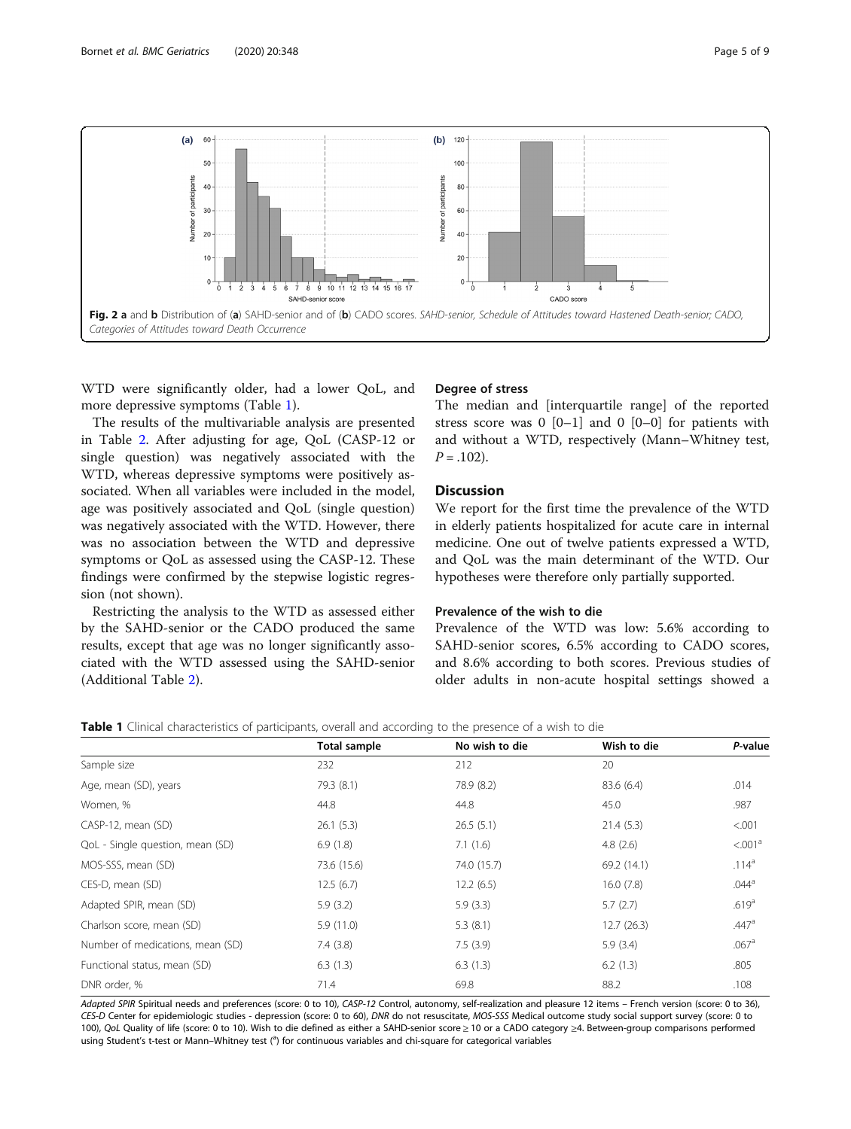<span id="page-4-0"></span>

WTD were significantly older, had a lower QoL, and more depressive symptoms (Table 1).

The results of the multivariable analysis are presented in Table [2](#page-5-0). After adjusting for age, QoL (CASP-12 or single question) was negatively associated with the WTD, whereas depressive symptoms were positively associated. When all variables were included in the model, age was positively associated and QoL (single question) was negatively associated with the WTD. However, there was no association between the WTD and depressive symptoms or QoL as assessed using the CASP-12. These findings were confirmed by the stepwise logistic regression (not shown).

Restricting the analysis to the WTD as assessed either by the SAHD-senior or the CADO produced the same results, except that age was no longer significantly associated with the WTD assessed using the SAHD-senior (Additional Table [2\)](#page-6-0).

#### Degree of stress

The median and [interquartile range] of the reported stress score was  $0$  [0–1] and  $0$  [0–0] for patients with and without a WTD, respectively (Mann–Whitney test,  $P = .102$ ).

# **Discussion**

We report for the first time the prevalence of the WTD in elderly patients hospitalized for acute care in internal medicine. One out of twelve patients expressed a WTD, and QoL was the main determinant of the WTD. Our hypotheses were therefore only partially supported.

#### Prevalence of the wish to die

Prevalence of the WTD was low: 5.6% according to SAHD-senior scores, 6.5% according to CADO scores, and 8.6% according to both scores. Previous studies of older adults in non-acute hospital settings showed a

|  |  | <b>Table 1</b> Clinical characteristics of participants, overall and according to the presence of a wish to die |  |  |  |  |  |  |  |  |  |  |  |
|--|--|-----------------------------------------------------------------------------------------------------------------|--|--|--|--|--|--|--|--|--|--|--|
|--|--|-----------------------------------------------------------------------------------------------------------------|--|--|--|--|--|--|--|--|--|--|--|

|                                  | <b>Total sample</b> | No wish to die | Wish to die | P-value             |
|----------------------------------|---------------------|----------------|-------------|---------------------|
| Sample size                      | 232                 | 212            | 20          |                     |
| Age, mean (SD), years            | 79.3 (8.1)          | 78.9 (8.2)     | 83.6 (6.4)  | .014                |
| Women, %                         | 44.8                | 44.8           | 45.0        | .987                |
| CASP-12, mean (SD)               | 26.1(5.3)           | 26.5(5.1)      | 21.4(5.3)   | < 0.001             |
| QoL - Single question, mean (SD) | 6.9(1.8)            | 7.1(1.6)       | 4.8(2.6)    | < 0.01 <sup>a</sup> |
| MOS-SSS, mean (SD)               | 73.6 (15.6)         | 74.0 (15.7)    | 69.2 (14.1) | .114 <sup>a</sup>   |
| CES-D, mean (SD)                 | 12.5(6.7)           | 12.2(6.5)      | 16.0(7.8)   | $.044^{\circ}$      |
| Adapted SPIR, mean (SD)          | 5.9(3.2)            | 5.9(3.3)       | 5.7(2.7)    | .619 <sup>a</sup>   |
| Charlson score, mean (SD)        | 5.9(11.0)           | 5.3(8.1)       | 12.7(26.3)  | .447a               |
| Number of medications, mean (SD) | 7.4(3.8)            | 7.5(3.9)       | 5.9(3.4)    | .067 <sup>a</sup>   |
| Functional status, mean (SD)     | 6.3(1.3)            | 6.3(1.3)       | 6.2(1.3)    | .805                |
| DNR order, %                     | 71.4                | 69.8           | 88.2        | .108                |

Adapted SPIR Spiritual needs and preferences (score: 0 to 10), CASP-12 Control, autonomy, self-realization and pleasure 12 items – French version (score: 0 to 36), CES-D Center for epidemiologic studies - depression (score: 0 to 60), DNR do not resuscitate, MOS-SSS Medical outcome study social support survey (score: 0 to 100), QoL Quality of life (score: 0 to 10). Wish to die defined as either a SAHD-senior score ≥ 10 or a CADO category ≥4. Between-group comparisons performed using Student's t-test or Mann–Whitney test (<sup>a</sup>) for continuous variables and chi-square for categorical variables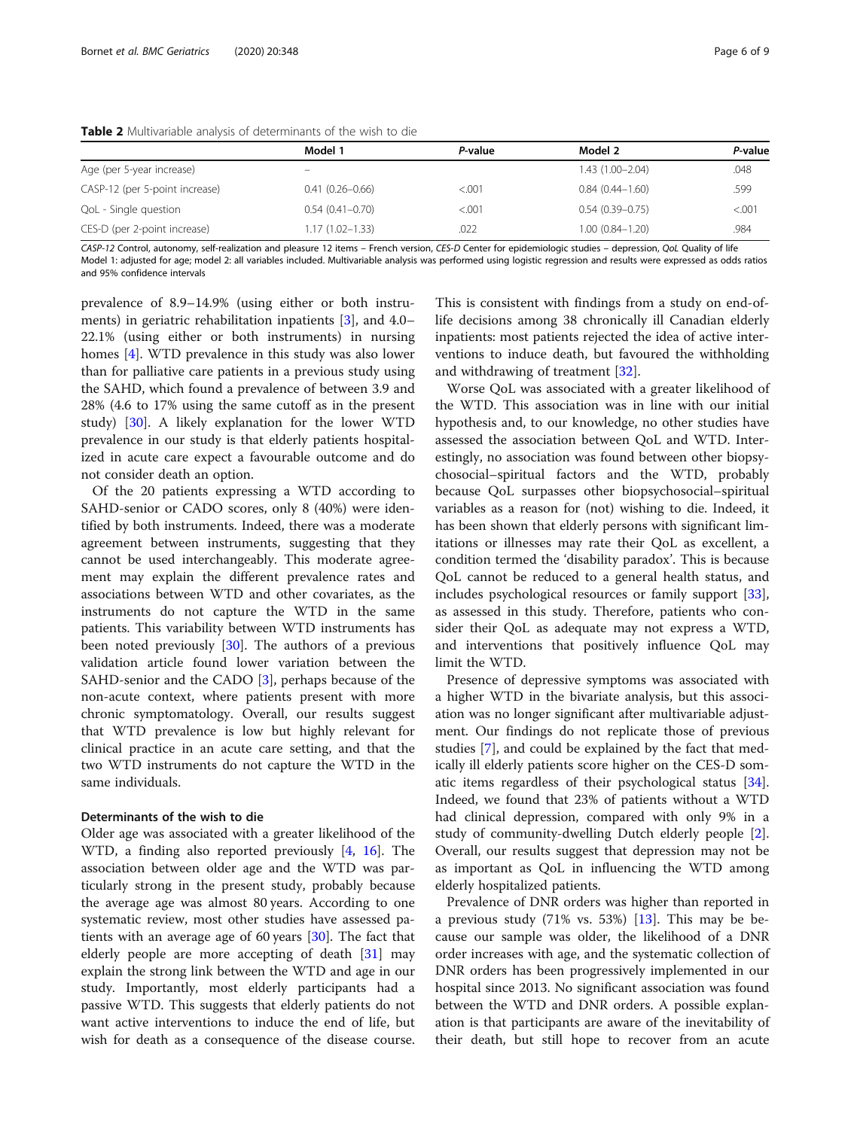|                                | Model 1                  | P-value | Model 2             | P-value |
|--------------------------------|--------------------------|---------|---------------------|---------|
| Age (per 5-year increase)      | $\overline{\phantom{m}}$ |         | $1.43(1.00 - 2.04)$ | .048    |
| CASP-12 (per 5-point increase) | $0.41(0.26 - 0.66)$      | < 0.001 | $0.84(0.44 - 1.60)$ | .599    |
| QoL - Single question          | $0.54(0.41 - 0.70)$      | < 0.001 | $0.54(0.39 - 0.75)$ | < 0.001 |
| CES-D (per 2-point increase)   | 1.17 (1.02–1.33)         | .022    | $1.00(0.84 - 1.20)$ | .984    |

<span id="page-5-0"></span>Table 2 Multivariable analysis of determinants of the wish to die

CASP-12 Control, autonomy, self-realization and pleasure 12 items – French version, CES-D Center for epidemiologic studies – depression, QoL Quality of life Model 1: adjusted for age; model 2: all variables included. Multivariable analysis was performed using logistic regression and results were expressed as odds ratios and 95% confidence intervals

prevalence of 8.9–14.9% (using either or both instruments) in geriatric rehabilitation inpatients [[3\]](#page-7-0), and 4.0– 22.1% (using either or both instruments) in nursing homes [[4\]](#page-7-0). WTD prevalence in this study was also lower than for palliative care patients in a previous study using the SAHD, which found a prevalence of between 3.9 and 28% (4.6 to 17% using the same cutoff as in the present study) [\[30](#page-7-0)]. A likely explanation for the lower WTD prevalence in our study is that elderly patients hospitalized in acute care expect a favourable outcome and do not consider death an option.

Of the 20 patients expressing a WTD according to SAHD-senior or CADO scores, only 8 (40%) were identified by both instruments. Indeed, there was a moderate agreement between instruments, suggesting that they cannot be used interchangeably. This moderate agreement may explain the different prevalence rates and associations between WTD and other covariates, as the instruments do not capture the WTD in the same patients. This variability between WTD instruments has been noted previously [\[30\]](#page-7-0). The authors of a previous validation article found lower variation between the SAHD-senior and the CADO [[3](#page-7-0)], perhaps because of the non-acute context, where patients present with more chronic symptomatology. Overall, our results suggest that WTD prevalence is low but highly relevant for clinical practice in an acute care setting, and that the two WTD instruments do not capture the WTD in the same individuals.

#### Determinants of the wish to die

Older age was associated with a greater likelihood of the WTD, a finding also reported previously [[4,](#page-7-0) [16\]](#page-7-0). The association between older age and the WTD was particularly strong in the present study, probably because the average age was almost 80 years. According to one systematic review, most other studies have assessed patients with an average age of 60 years [\[30\]](#page-7-0). The fact that elderly people are more accepting of death [\[31\]](#page-7-0) may explain the strong link between the WTD and age in our study. Importantly, most elderly participants had a passive WTD. This suggests that elderly patients do not want active interventions to induce the end of life, but wish for death as a consequence of the disease course.

This is consistent with findings from a study on end-oflife decisions among 38 chronically ill Canadian elderly inpatients: most patients rejected the idea of active interventions to induce death, but favoured the withholding and withdrawing of treatment [\[32](#page-7-0)].

Worse QoL was associated with a greater likelihood of the WTD. This association was in line with our initial hypothesis and, to our knowledge, no other studies have assessed the association between QoL and WTD. Interestingly, no association was found between other biopsychosocial–spiritual factors and the WTD, probably because QoL surpasses other biopsychosocial–spiritual variables as a reason for (not) wishing to die. Indeed, it has been shown that elderly persons with significant limitations or illnesses may rate their QoL as excellent, a condition termed the 'disability paradox'. This is because QoL cannot be reduced to a general health status, and includes psychological resources or family support [\[33](#page-7-0)], as assessed in this study. Therefore, patients who consider their QoL as adequate may not express a WTD, and interventions that positively influence QoL may limit the WTD.

Presence of depressive symptoms was associated with a higher WTD in the bivariate analysis, but this association was no longer significant after multivariable adjustment. Our findings do not replicate those of previous studies [\[7](#page-7-0)], and could be explained by the fact that medically ill elderly patients score higher on the CES-D somatic items regardless of their psychological status [\[34](#page-7-0)]. Indeed, we found that 23% of patients without a WTD had clinical depression, compared with only 9% in a study of community-dwelling Dutch elderly people [\[2](#page-7-0)]. Overall, our results suggest that depression may not be as important as QoL in influencing the WTD among elderly hospitalized patients.

Prevalence of DNR orders was higher than reported in a previous study  $(71\% \text{ vs. } 53\%)$   $[13]$  $[13]$ . This may be because our sample was older, the likelihood of a DNR order increases with age, and the systematic collection of DNR orders has been progressively implemented in our hospital since 2013. No significant association was found between the WTD and DNR orders. A possible explanation is that participants are aware of the inevitability of their death, but still hope to recover from an acute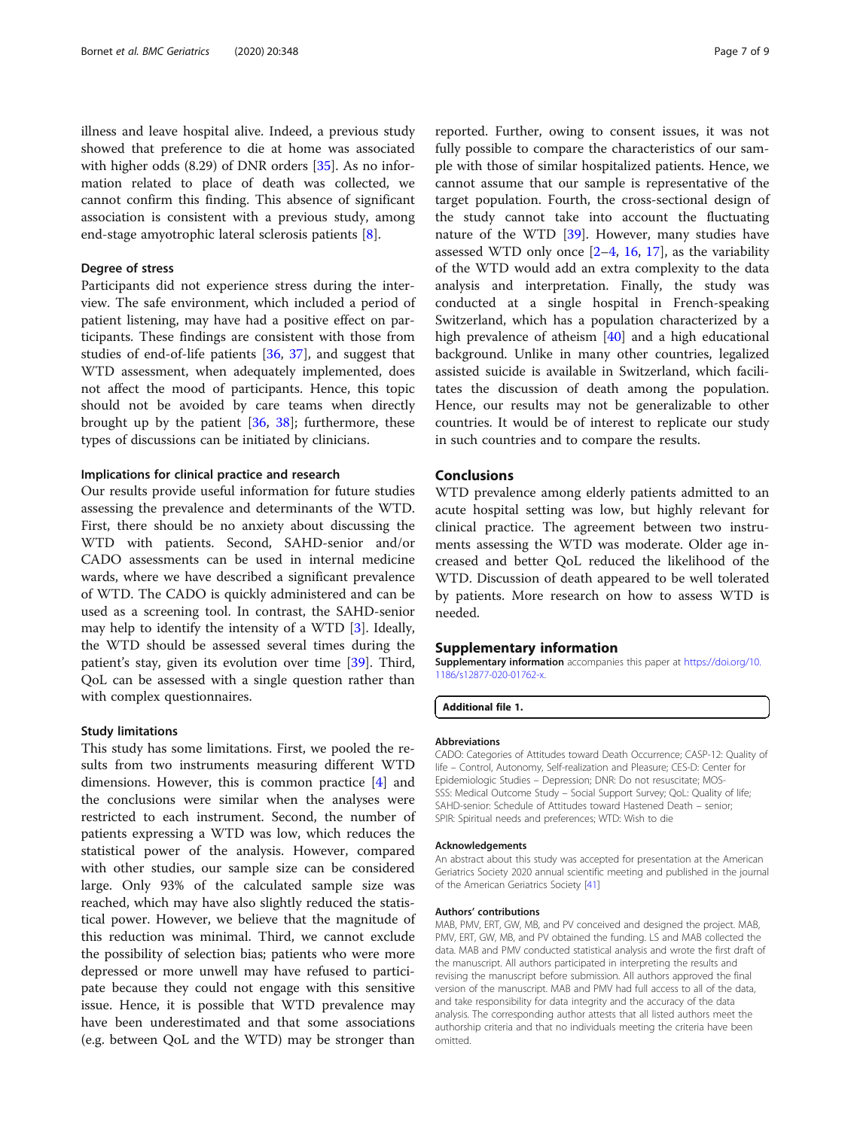<span id="page-6-0"></span>illness and leave hospital alive. Indeed, a previous study showed that preference to die at home was associated with higher odds (8.29) of DNR orders [[35\]](#page-7-0). As no information related to place of death was collected, we cannot confirm this finding. This absence of significant association is consistent with a previous study, among end-stage amyotrophic lateral sclerosis patients [\[8](#page-7-0)].

#### Degree of stress

Participants did not experience stress during the interview. The safe environment, which included a period of patient listening, may have had a positive effect on participants. These findings are consistent with those from studies of end-of-life patients [[36](#page-7-0), [37](#page-7-0)], and suggest that WTD assessment, when adequately implemented, does not affect the mood of participants. Hence, this topic should not be avoided by care teams when directly brought up by the patient [[36](#page-7-0), [38](#page-7-0)]; furthermore, these types of discussions can be initiated by clinicians.

#### Implications for clinical practice and research

Our results provide useful information for future studies assessing the prevalence and determinants of the WTD. First, there should be no anxiety about discussing the WTD with patients. Second, SAHD-senior and/or CADO assessments can be used in internal medicine wards, where we have described a significant prevalence of WTD. The CADO is quickly administered and can be used as a screening tool. In contrast, the SAHD-senior may help to identify the intensity of a WTD [[3\]](#page-7-0). Ideally, the WTD should be assessed several times during the patient's stay, given its evolution over time [[39\]](#page-7-0). Third, QoL can be assessed with a single question rather than with complex questionnaires.

#### Study limitations

This study has some limitations. First, we pooled the results from two instruments measuring different WTD dimensions. However, this is common practice [\[4\]](#page-7-0) and the conclusions were similar when the analyses were restricted to each instrument. Second, the number of patients expressing a WTD was low, which reduces the statistical power of the analysis. However, compared with other studies, our sample size can be considered large. Only 93% of the calculated sample size was reached, which may have also slightly reduced the statistical power. However, we believe that the magnitude of this reduction was minimal. Third, we cannot exclude the possibility of selection bias; patients who were more depressed or more unwell may have refused to participate because they could not engage with this sensitive issue. Hence, it is possible that WTD prevalence may have been underestimated and that some associations (e.g. between QoL and the WTD) may be stronger than

reported. Further, owing to consent issues, it was not fully possible to compare the characteristics of our sample with those of similar hospitalized patients. Hence, we cannot assume that our sample is representative of the target population. Fourth, the cross-sectional design of the study cannot take into account the fluctuating nature of the WTD [\[39\]](#page-7-0). However, many studies have assessed WTD only once  $[2-4, 16, 17]$  $[2-4, 16, 17]$  $[2-4, 16, 17]$  $[2-4, 16, 17]$  $[2-4, 16, 17]$  $[2-4, 16, 17]$  $[2-4, 16, 17]$  $[2-4, 16, 17]$  $[2-4, 16, 17]$ , as the variability of the WTD would add an extra complexity to the data analysis and interpretation. Finally, the study was conducted at a single hospital in French-speaking Switzerland, which has a population characterized by a high prevalence of atheism [\[40\]](#page-8-0) and a high educational background. Unlike in many other countries, legalized assisted suicide is available in Switzerland, which facilitates the discussion of death among the population. Hence, our results may not be generalizable to other countries. It would be of interest to replicate our study in such countries and to compare the results.

#### Conclusions

WTD prevalence among elderly patients admitted to an acute hospital setting was low, but highly relevant for clinical practice. The agreement between two instruments assessing the WTD was moderate. Older age increased and better QoL reduced the likelihood of the WTD. Discussion of death appeared to be well tolerated by patients. More research on how to assess WTD is needed.

#### Supplementary information

Supplementary information accompanies this paper at [https://doi.org/10.](https://doi.org/10.1186/s12877-020-01762-x) [1186/s12877-020-01762-x.](https://doi.org/10.1186/s12877-020-01762-x)

Additional file 1.

#### Abbreviations

CADO: Categories of Attitudes toward Death Occurrence; CASP-12: Quality of life – Control, Autonomy, Self-realization and Pleasure; CES-D: Center for Epidemiologic Studies – Depression; DNR: Do not resuscitate; MOS-SSS: Medical Outcome Study – Social Support Survey; QoL: Quality of life; SAHD-senior: Schedule of Attitudes toward Hastened Death – senior; SPIR: Spiritual needs and preferences; WTD: Wish to die

#### Acknowledgements

An abstract about this study was accepted for presentation at the American Geriatrics Society 2020 annual scientific meeting and published in the journal of the American Geriatrics Society [[41](#page-8-0)]

#### Authors' contributions

MAB, PMV, ERT, GW, MB, and PV conceived and designed the project. MAB, PMV, ERT, GW, MB, and PV obtained the funding. LS and MAB collected the data. MAB and PMV conducted statistical analysis and wrote the first draft of the manuscript. All authors participated in interpreting the results and revising the manuscript before submission. All authors approved the final version of the manuscript. MAB and PMV had full access to all of the data, and take responsibility for data integrity and the accuracy of the data analysis. The corresponding author attests that all listed authors meet the authorship criteria and that no individuals meeting the criteria have been omitted.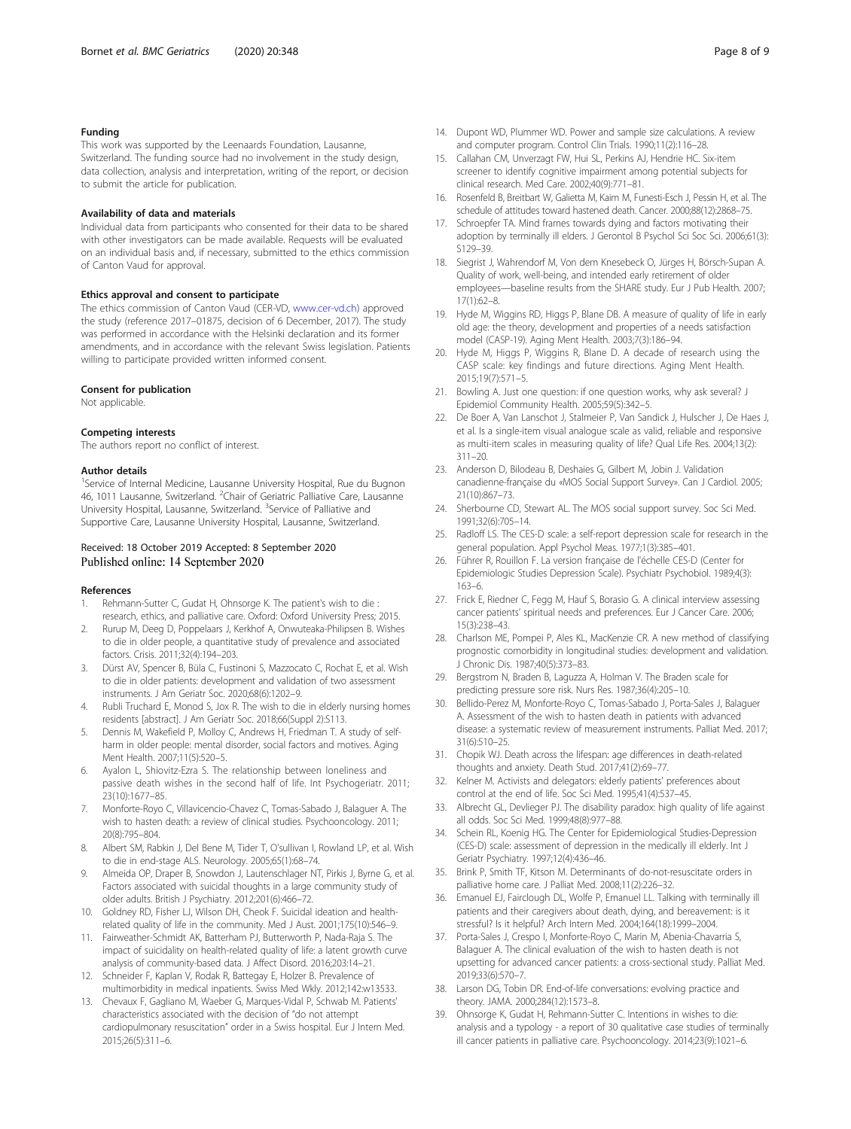#### <span id="page-7-0"></span>Funding

This work was supported by the Leenaards Foundation, Lausanne, Switzerland. The funding source had no involvement in the study design, data collection, analysis and interpretation, writing of the report, or decision to submit the article for publication.

#### Availability of data and materials

Individual data from participants who consented for their data to be shared with other investigators can be made available. Requests will be evaluated on an individual basis and, if necessary, submitted to the ethics commission of Canton Vaud for approval.

#### Ethics approval and consent to participate

The ethics commission of Canton Vaud (CER-VD, [www.cer-vd.ch\)](http://www.cer-vd.ch) approved the study (reference 2017–01875, decision of 6 December, 2017). The study was performed in accordance with the Helsinki declaration and its former amendments, and in accordance with the relevant Swiss legislation. Patients willing to participate provided written informed consent.

#### Consent for publication

Not applicable.

#### Competing interests

The authors report no conflict of interest.

#### Author details

<sup>1</sup>Service of Internal Medicine, Lausanne University Hospital, Rue du Bugnon 46, 1011 Lausanne, Switzerland. <sup>2</sup>Chair of Geriatric Palliative Care, Lausanne University Hospital, Lausanne, Switzerland. <sup>3</sup>Service of Palliative and Supportive Care, Lausanne University Hospital, Lausanne, Switzerland.

#### Received: 18 October 2019 Accepted: 8 September 2020 Published online: 14 September 2020

#### References

- 1. Rehmann-Sutter C, Gudat H, Ohnsorge K. The patient's wish to die : research, ethics, and palliative care. Oxford: Oxford University Press; 2015.
- 2. Rurup M, Deeg D, Poppelaars J, Kerkhof A, Onwuteaka-Philipsen B. Wishes to die in older people, a quantitative study of prevalence and associated factors. Crisis. 2011;32(4):194–203.
- 3. Dürst AV, Spencer B, Büla C, Fustinoni S, Mazzocato C, Rochat E, et al. Wish to die in older patients: development and validation of two assessment instruments. J Am Geriatr Soc. 2020;68(6):1202–9.
- 4. Rubli Truchard E, Monod S, Jox R. The wish to die in elderly nursing homes residents [abstract]. J Am Geriatr Soc. 2018;66(Suppl 2):S113.
- 5. Dennis M, Wakefield P, Molloy C, Andrews H, Friedman T. A study of selfharm in older people: mental disorder, social factors and motives. Aging Ment Health. 2007;11(5):520–5.
- 6. Ayalon L, Shiovitz-Ezra S. The relationship between loneliness and passive death wishes in the second half of life. Int Psychogeriatr. 2011; 23(10):1677–85.
- 7. Monforte-Royo C, Villavicencio-Chavez C, Tomas-Sabado J, Balaguer A. The wish to hasten death: a review of clinical studies. Psychooncology. 2011; 20(8):795–804.
- 8. Albert SM, Rabkin J, Del Bene M, Tider T, O'sullivan I, Rowland LP, et al. Wish to die in end-stage ALS. Neurology. 2005;65(1):68–74.
- Almeida OP, Draper B, Snowdon J, Lautenschlager NT, Pirkis J, Byrne G, et al. Factors associated with suicidal thoughts in a large community study of older adults. British J Psychiatry. 2012;201(6):466–72.
- 10. Goldney RD, Fisher LJ, Wilson DH, Cheok F. Suicidal ideation and healthrelated quality of life in the community. Med J Aust. 2001;175(10):546–9.
- 11. Fairweather-Schmidt AK, Batterham PJ, Butterworth P, Nada-Raja S. The impact of suicidality on health-related quality of life: a latent growth curve analysis of community-based data. J Affect Disord. 2016;203:14–21.
- 12. Schneider F, Kaplan V, Rodak R, Battegay E, Holzer B. Prevalence of multimorbidity in medical inpatients. Swiss Med Wkly. 2012;142:w13533.
- 13. Chevaux F, Gagliano M, Waeber G, Marques-Vidal P, Schwab M. Patients' characteristics associated with the decision of "do not attempt cardiopulmonary resuscitation" order in a Swiss hospital. Eur J Intern Med. 2015;26(5):311–6.
- 14. Dupont WD, Plummer WD. Power and sample size calculations. A review and computer program. Control Clin Trials. 1990;11(2):116–28.
- 15. Callahan CM, Unverzagt FW, Hui SL, Perkins AJ, Hendrie HC. Six-item screener to identify cognitive impairment among potential subjects for clinical research. Med Care. 2002;40(9):771–81.
- 16. Rosenfeld B, Breitbart W, Galietta M, Kaim M, Funesti-Esch J, Pessin H, et al. The schedule of attitudes toward hastened death. Cancer. 2000;88(12):2868–75.
- 17. Schroepfer TA. Mind frames towards dying and factors motivating their adoption by terminally ill elders. J Gerontol B Psychol Sci Soc Sci. 2006;61(3): S129–39.
- 18. Siegrist J, Wahrendorf M, Von dem Knesebeck O, Jürges H, Börsch-Supan A. Quality of work, well-being, and intended early retirement of older employees—baseline results from the SHARE study. Eur J Pub Health. 2007; 17(1):62–8.
- 19. Hyde M, Wiggins RD, Higgs P, Blane DB. A measure of quality of life in early old age: the theory, development and properties of a needs satisfaction model (CASP-19). Aging Ment Health. 2003;7(3):186–94.
- 20. Hyde M, Higgs P, Wiggins R, Blane D. A decade of research using the CASP scale: key findings and future directions. Aging Ment Health. 2015;19(7):571–5.
- 21. Bowling A. Just one question: if one question works, why ask several? J Epidemiol Community Health. 2005;59(5):342–5.
- 22. De Boer A, Van Lanschot J, Stalmeier P, Van Sandick J, Hulscher J, De Haes J, et al. Is a single-item visual analogue scale as valid, reliable and responsive as multi-item scales in measuring quality of life? Qual Life Res. 2004;13(2): 311–20.
- 23. Anderson D, Bilodeau B, Deshaies G, Gilbert M, Jobin J. Validation canadienne-française du «MOS Social Support Survey». Can J Cardiol. 2005; 21(10):867–73.
- 24. Sherbourne CD, Stewart AL. The MOS social support survey. Soc Sci Med. 1991;32(6):705–14.
- Radloff LS. The CES-D scale: a self-report depression scale for research in the general population. Appl Psychol Meas. 1977;1(3):385–401.
- 26. Führer R, Rouillon F. La version française de l'échelle CES-D (Center for Epidemiologic Studies Depression Scale). Psychiatr Psychobiol. 1989;4(3): 163–6.
- 27. Frick E, Riedner C, Fegg M, Hauf S, Borasio G. A clinical interview assessing cancer patients' spiritual needs and preferences. Eur J Cancer Care. 2006; 15(3):238–43.
- 28. Charlson ME, Pompei P, Ales KL, MacKenzie CR. A new method of classifying prognostic comorbidity in longitudinal studies: development and validation. J Chronic Dis. 1987;40(5):373–83.
- 29. Bergstrom N, Braden B, Laguzza A, Holman V. The Braden scale for predicting pressure sore risk. Nurs Res. 1987;36(4):205–10.
- 30. Bellido-Perez M, Monforte-Royo C, Tomas-Sabado J, Porta-Sales J, Balaguer A. Assessment of the wish to hasten death in patients with advanced disease: a systematic review of measurement instruments. Palliat Med. 2017; 31(6):510–25.
- 31. Chopik WJ. Death across the lifespan: age differences in death-related thoughts and anxiety. Death Stud. 2017;41(2):69–77.
- 32. Kelner M. Activists and delegators: elderly patients' preferences about control at the end of life. Soc Sci Med. 1995;41(4):537–45.
- 33. Albrecht GL, Devlieger PJ. The disability paradox: high quality of life against all odds. Soc Sci Med. 1999;48(8):977–88.
- 34. Schein RL, Koenig HG. The Center for Epidemiological Studies-Depression (CES-D) scale: assessment of depression in the medically ill elderly. Int J Geriatr Psychiatry. 1997;12(4):436–46.
- 35. Brink P, Smith TF, Kitson M. Determinants of do-not-resuscitate orders in palliative home care. J Palliat Med. 2008;11(2):226–32.
- 36. Emanuel EJ, Fairclough DL, Wolfe P, Emanuel LL. Talking with terminally ill patients and their caregivers about death, dying, and bereavement: is it stressful? Is it helpful? Arch Intern Med. 2004;164(18):1999–2004.
- 37. Porta-Sales J, Crespo I, Monforte-Royo C, Marin M, Abenia-Chavarria S, Balaguer A. The clinical evaluation of the wish to hasten death is not upsetting for advanced cancer patients: a cross-sectional study. Palliat Med. 2019;33(6):570–7.
- 38. Larson DG, Tobin DR. End-of-life conversations: evolving practice and theory. JAMA. 2000;284(12):1573–8.
- 39. Ohnsorge K, Gudat H, Rehmann-Sutter C. Intentions in wishes to die: analysis and a typology - a report of 30 qualitative case studies of terminally ill cancer patients in palliative care. Psychooncology. 2014;23(9):1021–6.